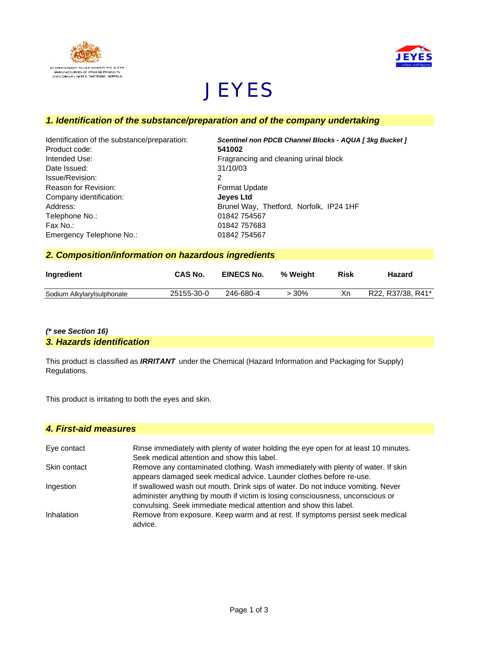



# **JEYES**

# *1. Identification of the substance/preparation and of the company undertaking*

| Scentinel non PDCB Channel Blocks - AQUA [3kg Bucket] |
|-------------------------------------------------------|
| 541002                                                |
| Fragrancing and cleaning urinal block                 |
| 31/10/03                                              |
| 2                                                     |
| <b>Format Update</b>                                  |
| <b>Jeves Ltd</b>                                      |
| Brunel Way, Thetford, Norfolk, IP24 1HF               |
| 01842 754567                                          |
| 01842 757683                                          |
| 01842 754567                                          |
|                                                       |

# *2. Composition/information on hazardous ingredients*

| Ingredient                 | CAS No.    | <b>EINECS No.</b> | % Weight | <b>Risk</b> | Hazard            |
|----------------------------|------------|-------------------|----------|-------------|-------------------|
| Sodium Alkylarylsulphonate | 25155-30-0 | 246-680-4         | > 30%    | Xn          | R22, R37/38, R41* |

## *(\* see Section 16) 3. Hazards identification*

This product is classified as *IRRITANT* under the Chemical (Hazard Information and Packaging for Supply) Regulations.

This product is irritating to both the eyes and skin.

#### *4. First-aid measures*

| Eye contact  | Rinse immediately with plenty of water holding the eye open for at least 10 minutes.<br>Seek medical attention and show this label.                                                                                                    |
|--------------|----------------------------------------------------------------------------------------------------------------------------------------------------------------------------------------------------------------------------------------|
| Skin contact | Remove any contaminated clothing. Wash immediately with plenty of water. If skin<br>appears damaged seek medical advice. Launder clothes before re-use.                                                                                |
| Ingestion    | If swallowed wash out mouth. Drink sips of water. Do not induce vomiting. Never<br>administer anything by mouth if victim is losing consciousness, unconscious or<br>convulsing. Seek immediate medical attention and show this label. |
| Inhalation   | Remove from exposure. Keep warm and at rest. If symptoms persist seek medical<br>advice.                                                                                                                                               |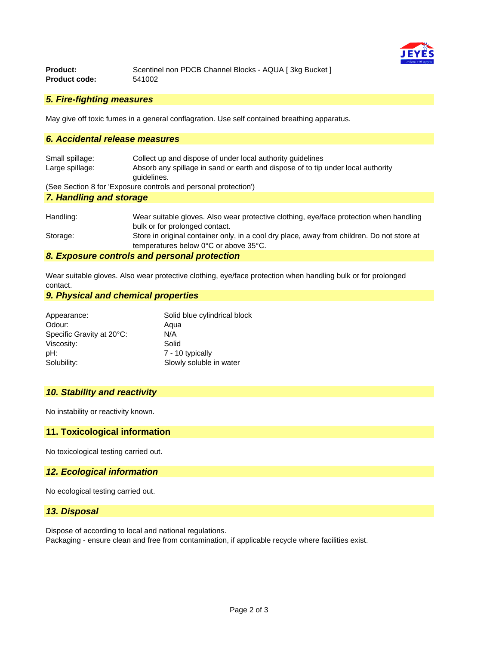

| <b>Product:</b>      | Scentinel non PDCB Channel Blocks - AQUA [3kg Bucket] |
|----------------------|-------------------------------------------------------|
| <b>Product code:</b> | 541002                                                |

#### *5. Fire-fighting measures*

May give off toxic fumes in a general conflagration. Use self contained breathing apparatus.

## *6. Accidental release measures*

| Small spillage:         | Collect up and dispose of under local authority quidelines                       |  |
|-------------------------|----------------------------------------------------------------------------------|--|
| Large spillage:         | Absorb any spillage in sand or earth and dispose of to tip under local authority |  |
|                         | quidelines.                                                                      |  |
|                         | (See Section 8 for 'Exposure controls and personal protection')                  |  |
| 7. Handling and storage |                                                                                  |  |
|                         |                                                                                  |  |

| Handling: | Wear suitable gloves. Also wear protective clothing, eye/face protection when handling                                              |
|-----------|-------------------------------------------------------------------------------------------------------------------------------------|
|           | bulk or for prolonged contact.                                                                                                      |
| Storage:  | Store in original container only, in a cool dry place, away from children. Do not store at<br>temperatures below 0°C or above 35°C. |
|           |                                                                                                                                     |

#### *8. Exposure controls and personal protection*

Wear suitable gloves. Also wear protective clothing, eye/face protection when handling bulk or for prolonged contact.

#### *9. Physical and chemical properties*

| Appearance:               | Solid blue cylindrical block |
|---------------------------|------------------------------|
| Odour:                    | Aqua                         |
| Specific Gravity at 20°C: | N/A                          |
| Viscosity:                | Solid                        |
| pH:                       | 7 - 10 typically             |
| Solubility:               | Slowly soluble in water      |

#### *10. Stability and reactivity*

No instability or reactivity known.

#### **11. Toxicological information**

No toxicological testing carried out.

#### *12. Ecological information*

No ecological testing carried out.

## *13. Disposal*

Dispose of according to local and national regulations.

Packaging - ensure clean and free from contamination, if applicable recycle where facilities exist.